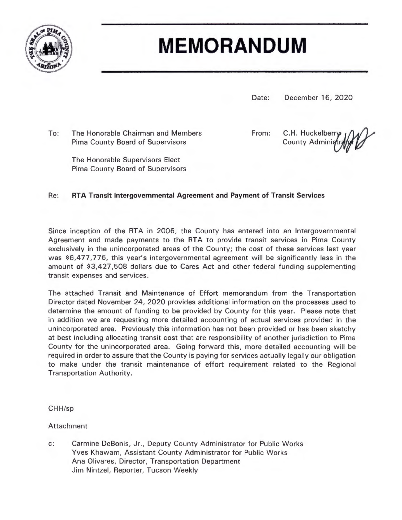

# **MEMORANDUM**

Date: December 16, 2020

To: The Honorable Chairman and Members Pima County Board of Supervisors

From:

C.H. Huckelberr **County Admin** 

The Honorable Supervisors Elect Pima County Board of Supervisors

## Re: **RTA Transit Intergovernmental Agreement and Payment of Transit Services**

Since inception of the RTA in 2006, the County has entered into an Intergovernmental Agreement and made payments to the RTA to provide transit services in Pima County exclusively in the unincorporated areas of the County; the cost of these services last year was \$6,477,776, this year's intergovernmental agreement will be significantly less in the amount of \$3,427,508 dollars due to Cares Act and other federal funding supplementing transit expenses and services.

The attached Transit and Maintenance of Effort memorandum from the Transportation Director dated November 24, 2020 provides additional information on the processes used to determine the amount of funding to be provided by County for this year. Please note that in addition we are requesting more detailed accounting of actual services provided in the unincorporated area. Previously this information has not been provided or has been sketchy at best including allocating transit cost that are responsibility of another jurisdiction to Pima County for the unincorporated area. Going forward this, more detailed accounting will be required in order to assure that the County is paying for services actually legally our obligation to make under the transit maintenance of effort requirement related to the Regional **Transportation Authority.** 

CHH/sp

**Attachment** 

c: Carmine DeBonis, Jr., Deputy County Administrator for Public Works Yves Khawam, Assistant County Administrator for Public Works Ana Olivares, Director, Transportation Department Jim Nintzel, Reporter, Tucson Weekly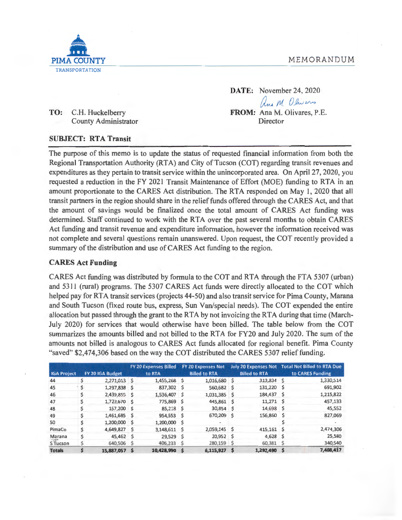## MEMORANDUM



**DATE:** November 24, 2020 aux M. Olivans **FROM:** Ana M. Olivares, P.E. Director

**TO:** C.H. Huckelberry County Administrator

#### **SUBJECT: RTA Transit**

The purpose of this memo is to update the status of requested financial information from both the Regional Transportation Authority (RTA) and City of Tucson (COT) regarding transit revenues and expenditures as they pertain to transit service within the unincorporated area. On April 27, 2020, you requested a reduction in the FY 2021 Transit Maintenance of Effort (MOE) funding to RTA in an amount proportionate to the CARES Act distribution. The RTA responded on May 1, 2020 that all transit partners in the region should share in the relief funds offered through the CARES Act, and that the amount of savings would be finalized once the total amount of CARES Act funding was determined. Staff continued to work with the RTA over the past several months to obtain CARES Act funding and transit revenue and expenditure information, however the information received was not complete and several questions remain unanswered. Upon request, the COT recently provided a summary of the distribution and use of CARES Act funding to the region.

### **CARES Act Funding**

CARES Act funding was distributed by formula to the COT and RTA through the FTA 5307 (urban) and 5311 (rural) programs. The 5307 CARES Act funds were directly allocated to the COT which helped pay for RTA transit services (projects 44-50) and also transit service for Pima County, Marana and South Tucson (fixed route bus, express, Sun Van/special needs). The COT expended the entire allocation but passed through the grant to the RTA by not invoicing the RTA during that time (March-July 2020) for services that would otherwise have been billed. The table below from the COT summarizes the amounts billed and not billed to the RTA for FY20 and July 2020. The sum of the amounts not billed is analogous to CARES Act funds allocated for regional benefit. Pima County "saved" \$2,474,306 based on the way the COT distributed the CARES 5307 relief funding.

|                    |                  |               |        | <b>FY 20 Expenses Billed</b> |                      | <b>FY 20 Expenses Not</b> |                      | <b>July 20 Expenses Not</b> |                  | <b>Total Not Billed to RTA Due</b> |
|--------------------|------------------|---------------|--------|------------------------------|----------------------|---------------------------|----------------------|-----------------------------|------------------|------------------------------------|
| <b>IGA Project</b> | FY 20 IGA Budget |               | to RTA |                              | <b>Billed to RTA</b> |                           | <b>Billed to RTA</b> |                             | to CARES Funding |                                    |
| 44                 | Ś                | 2,271,013 \$  |        | 1,455,268 \$                 |                      | 1,016,680                 | \$                   | 313,834 \$                  |                  | 1,330,514                          |
| 45                 | ۰s               | 1,297,838 \$  |        | 837,302 \$                   |                      | 560,682                   | s                    | 131,220                     | s                | 691,902                            |
| 46                 | \$               | 2,439,855 \$  |        | 1,536,407 \$                 |                      | 1,031,385                 | S                    | 184,437 \$                  |                  | 1,215,822                          |
| 47                 |                  | 1,723,670 \$  |        | 775,869 \$                   |                      | 445,861                   | s                    | $11,271$ \$                 |                  | 457,133                            |
| 48                 |                  | 157,200 \$    |        | 85,218 \$                    |                      | 30,854                    | -S                   | 14,698                      | s                | 45,552                             |
| 49                 | \$               | 1,461,685 \$  |        | 954,553 \$                   |                      | 670,209                   | -S                   | 156,860                     |                  | 827,069                            |
| 50                 |                  | 1,200,000     |        | 1,200,000 \$                 |                      |                           |                      |                             |                  |                                    |
| PimaCo             |                  | 4,649,827     |        | 3,148,611                    | - S                  | 2,059,145 \$              |                      | 415,161                     | s                | 2,474,306                          |
| Marana             |                  | 45,462        | S      | 29,529                       | - Ś                  | $20,952$ \$               |                      | 4,628                       | S                | 25,580                             |
| S Tucson           |                  | 640,506       | S      | 406,233                      |                      | 280,159 \$                |                      | 60,381                      | s                | 340,540                            |
| <b>Totals</b>      |                  | 15.887.057 \$ |        | 10,428,990                   | - S                  | 6,115,927                 | <b>S</b>             | 1,292,490                   | S                | 7,408,417                          |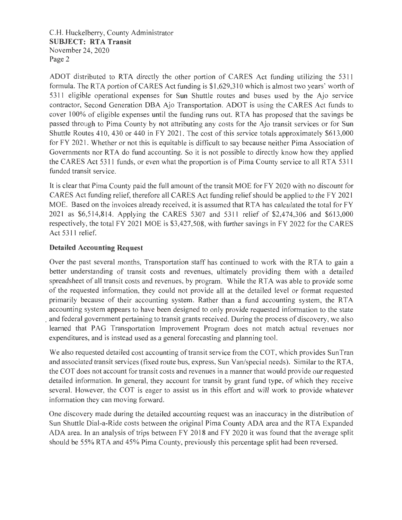C.H. Huckelberry, County Administrator **SUBJECT: RTA Transit**  November 24, 2020 Page 2

ADOT distributed to RTA directly the other portion of CARES Act funding utilizing the 5311 formula. The RTA portion of CARES Act funding is \$1 ,629,310 which is almost two years' worth of 53 I 1 eligible operational expenses for Sun Shuttle routes and buses used by the Ajo service contractor, Second Generation DBA Ajo Transportation. ADOT is using the CARES Act funds to cover 100% of eligible expenses until the funding runs out. RTA has proposed that the savings be passed through to Pima County by not attributing any costs for the Ajo transit services or for Sun Shuttle Routes 410, 430 or 440 in FY 2021. The cost of this service totals approximately \$613 ,000 for FY 2021. Whether or not this is equitable is difficult to say because neither Pima Association of Governments nor RTA do fund accounting. So it is not possible to directly know how they applied the CARES Act 5311 funds, or even what the proportion is of Pima County service to all RTA 5311 funded transit service.

It is clear that Pima County paid the full amount of the transit MOE for FY 2020 with no discount for CARES Act funding relief, therefore all CARES Act funding relief should be applied to the FY 2021 MOE. Based on the invoices already received, it is assumed that RTA has calculated the total for FY 2021 as \$6,514,814. Applying the CARES 5307 and 5311 relief of \$2,474,306 and \$613 ,000 respectively, the total FY 2021 MOE is \$3,427,508, with further savings in FY 2022 for the CARES Act 5311 relief.

## **Detailed Accounting Request**

Over the past several months, Transportation staff has continued to work with the RTA to gain a better understanding of transit costs and revenues, ultimately providing them with a detailed spreadsheet of all transit costs and revenues, by program. While the RTA was able to provide some of the requested information, they could not provide all at the detailed level or format requested primarily because of their accounting system. Rather than a fund accounting system, the RTA accounting system appears to have been designed to only provide requested information to the state . and federal government pertaining to transit grants received. During the process of discovery, we also learned that PAG Transportation Improvement Program does not match actual revenues nor expenditures, and is instead used as a general forecasting and planning tool.

We also requested detailed cost accounting of transit service from the COT, which provides SunTran and associated transit services (fixed route bus, express, Sun Van/special needs). Similar to the RTA, the COT does not account for transit costs and revenues in a manner that would provide our requested detailed information. In general, they account for transit by grant fund type, of which they receive several. However, the COT is eager to assist us in this effort and will work to provide whatever information they can moving forward.

One discovery made during the detailed accounting request was an inaccuracy in the distribution of Sun Shuttle Dial-a-Ride costs between the original Pima County ADA area and the RTA Expanded ADA area. In an analysis of trips between FY 2018 and FY 2020 it was found that the average split should be 55% RTA and 45% Pima County, previously this percentage split had been reversed.